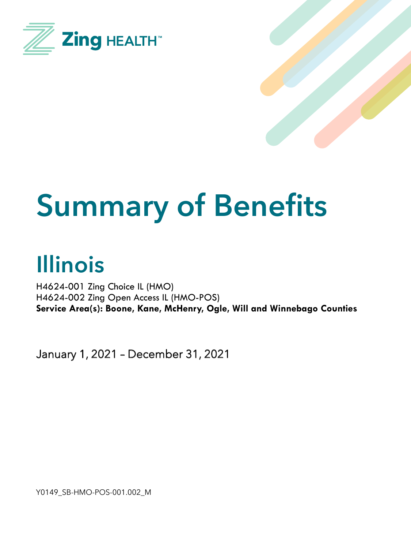



# **Summary of Benefits**

## **Illinois**

H4624-001 Zing Choice IL (HMO) H4624-002 Zing Open Access IL (HMO-POS) **Service Area(s): Boone, Kane, McHenry, Ogle, Will and Winnebago Counties**

January 1, 2021 – December 31, 2021

Y0149\_SB-HMO-POS-001.002\_M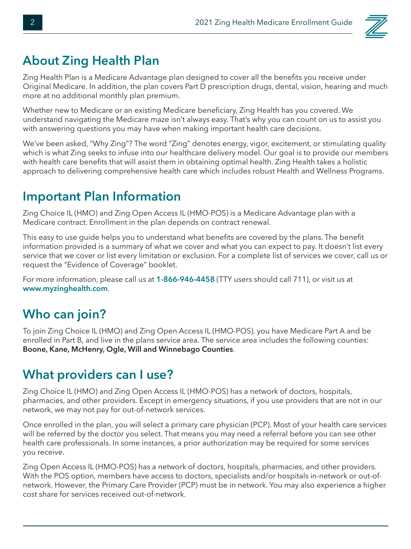

#### **About Zing Health Plan**

Zing Health Plan is a Medicare Advantage plan designed to cover all the benefits you receive under Original Medicare. In addition, the plan covers Part D prescription drugs, dental, vision, hearing and much more at no additional monthly plan premium.

Whether new to Medicare or an existing Medicare beneficiary, Zing Health has you covered. We understand navigating the Medicare maze isn't always easy. That's why you can count on us to assist you with answering questions you may have when making important health care decisions.

We've been asked, "Why Zing"? The word "Zing" denotes energy, vigor, excitement, or stimulating quality which is what Zing seeks to infuse into our healthcare delivery model. Our goal is to provide our members with health care benefits that will assist them in obtaining optimal health. Zing Health takes a holistic approach to delivering comprehensive health care which includes robust Health and Wellness Programs.

#### **Important Plan Information**

Zing Choice IL (HMO) and Zing Open Access IL (HMO-POS) is a Medicare Advantage plan with a Medicare contract. Enrollment in the plan depends on contract renewal.

This easy to use guide helps you to understand what benefits are covered by the plans. The benefit information provided is a summary of what we cover and what you can expect to pay. It doesn't list every service that we cover or list every limitation or exclusion. For a complete list of services we cover, call us or request the "Evidence of Coverage" booklet.

For more information, please call us at **1-866-946-4458** (TTY users should call 711), or visit us at **www.myzinghealth.com**.

#### **Who can join?**

To join Zing Choice IL (HMO) and Zing Open Access IL (HMO-POS), you have Medicare Part A and be enrolled in Part B, and live in the plans service area. The service area includes the following counties: **Boone, Kane, McHenry, Ogle, Will and Winnebago Counties**.

#### **What providers can I use?**

Zing Choice IL (HMO) and Zing Open Access IL (HMO-POS) has a network of doctors, hospitals, pharmacies, and other providers. Except in emergency situations, if you use providers that are not in our network, we may not pay for out-of-network services.

Once enrolled in the plan, you will select a primary care physician (PCP). Most of your health care services will be referred by the doctor you select. That means you may need a referral before you can see other health care professionals. In some instances, a prior authorization may be required for some services you receive.

Zing Open Access IL (HMO-POS) has a network of doctors, hospitals, pharmacies, and other providers. With the POS option, members have access to doctors, specialists and/or hospitals in-network or out-ofnetwork. However, the Primary Care Provider (PCP) must be in network. You may also experience a higher cost share for services received out-of-network.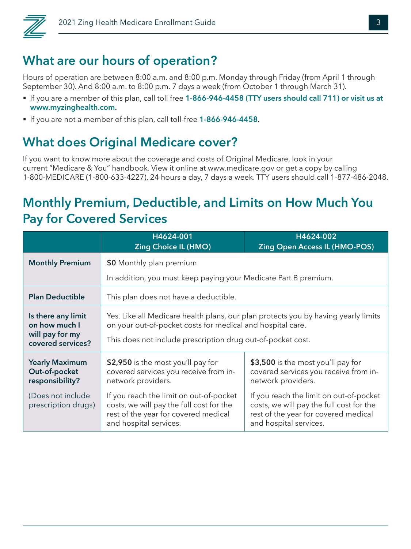

#### **What are our hours of operation?**

Hours of operation are between 8:00 a.m. and 8:00 p.m. Monday through Friday (from April 1 through September 30). And 8:00 a.m. to 8:00 p.m. 7 days a week (from October 1 through March 31).

- § If you are a member of this plan, call toll free **1-866-946-4458 (TTY users should call 711) or visit us at www.myzinghealth.com.**
- § If you are not a member of this plan, call toll-free **1-866-946-4458.**

#### **What does Original Medicare cover?**

If you want to know more about the coverage and costs of Original Medicare, look in your current "Medicare & You" handbook. View it online at www.medicare.gov or get a copy by calling 1-800-MEDICARE (1-800-633-4227), 24 hours a day, 7 days a week. TTY users should call 1-877-486-2048.

#### **Monthly Premium, Deductible, and Limits on How Much You Pay for Covered Services**

|                                                                             | H4624-001<br><b>Zing Choice IL (HMO)</b>                                                                                                                                                                        | H4624-002<br><b>Zing Open Access IL (HMO-POS)</b>                                                                                                     |
|-----------------------------------------------------------------------------|-----------------------------------------------------------------------------------------------------------------------------------------------------------------------------------------------------------------|-------------------------------------------------------------------------------------------------------------------------------------------------------|
| <b>Monthly Premium</b>                                                      | \$0 Monthly plan premium                                                                                                                                                                                        |                                                                                                                                                       |
|                                                                             | In addition, you must keep paying your Medicare Part B premium.                                                                                                                                                 |                                                                                                                                                       |
| <b>Plan Deductible</b>                                                      | This plan does not have a deductible.                                                                                                                                                                           |                                                                                                                                                       |
| Is there any limit<br>on how much I<br>will pay for my<br>covered services? | Yes. Like all Medicare health plans, our plan protects you by having yearly limits<br>on your out-of-pocket costs for medical and hospital care.<br>This does not include prescription drug out-of-pocket cost. |                                                                                                                                                       |
| <b>Yearly Maximum</b><br>Out-of-pocket<br>responsibility?                   | \$2,950 is the most you'll pay for<br>covered services you receive from in-<br>network providers.                                                                                                               | \$3,500 is the most you'll pay for<br>covered services you receive from in-<br>network providers.                                                     |
| (Does not include<br>prescription drugs)                                    | If you reach the limit on out-of-pocket<br>costs, we will pay the full cost for the<br>rest of the year for covered medical<br>and hospital services.                                                           | If you reach the limit on out-of-pocket<br>costs, we will pay the full cost for the<br>rest of the year for covered medical<br>and hospital services. |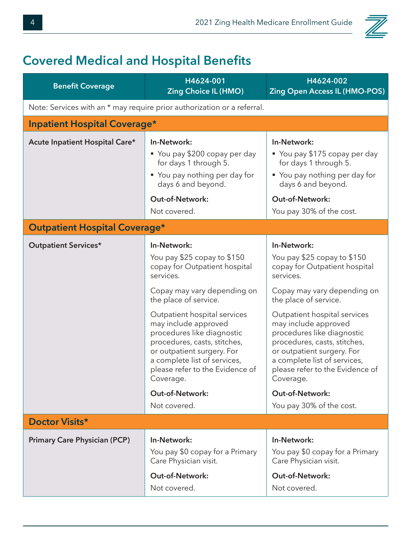### **Covered Medical and Hospital Benefits**

| <b>Benefit Coverage</b>                                                 | H4624-001<br><b>Zing Choice IL (HMO)</b>                                                                                                                                                                                                                                                                                                                                                                                       | H4624-002<br><b>Zing Open Access IL (HMO-POS)</b>                                                                                                                                                                                                                                                                                                                                                                                          |  |
|-------------------------------------------------------------------------|--------------------------------------------------------------------------------------------------------------------------------------------------------------------------------------------------------------------------------------------------------------------------------------------------------------------------------------------------------------------------------------------------------------------------------|--------------------------------------------------------------------------------------------------------------------------------------------------------------------------------------------------------------------------------------------------------------------------------------------------------------------------------------------------------------------------------------------------------------------------------------------|--|
| Note: Services with an * may require prior authorization or a referral. |                                                                                                                                                                                                                                                                                                                                                                                                                                |                                                                                                                                                                                                                                                                                                                                                                                                                                            |  |
| <b>Inpatient Hospital Coverage*</b>                                     |                                                                                                                                                                                                                                                                                                                                                                                                                                |                                                                                                                                                                                                                                                                                                                                                                                                                                            |  |
| Acute Inpatient Hospital Care*                                          | In-Network:<br>• You pay \$200 copay per day<br>for days 1 through 5.<br>" You pay nothing per day for<br>days 6 and beyond.<br><b>Out-of-Network:</b><br>Not covered.                                                                                                                                                                                                                                                         | In-Network:<br>■ You pay \$175 copay per day<br>for days 1 through 5.<br>■ You pay nothing per day for<br>days 6 and beyond.<br><b>Out-of-Network:</b><br>You pay 30% of the cost.                                                                                                                                                                                                                                                         |  |
| <b>Outpatient Hospital Coverage*</b>                                    |                                                                                                                                                                                                                                                                                                                                                                                                                                |                                                                                                                                                                                                                                                                                                                                                                                                                                            |  |
| <b>Outpatient Services*</b>                                             | In-Network:<br>You pay \$25 copay to \$150<br>copay for Outpatient hospital<br>services.<br>Copay may vary depending on<br>the place of service.<br>Outpatient hospital services<br>may include approved<br>procedures like diagnostic<br>procedures, casts, stitches,<br>or outpatient surgery. For<br>a complete list of services,<br>please refer to the Evidence of<br>Coverage.<br><b>Out-of-Network:</b><br>Not covered. | In-Network:<br>You pay \$25 copay to \$150<br>copay for Outpatient hospital<br>services.<br>Copay may vary depending on<br>the place of service.<br>Outpatient hospital services<br>may include approved<br>procedures like diagnostic<br>procedures, casts, stitches,<br>or outpatient surgery. For<br>a complete list of services,<br>please refer to the Evidence of<br>Coverage.<br><b>Out-of-Network:</b><br>You pay 30% of the cost. |  |
| Doctor Visits*                                                          |                                                                                                                                                                                                                                                                                                                                                                                                                                |                                                                                                                                                                                                                                                                                                                                                                                                                                            |  |
| <b>Primary Care Physician (PCP)</b>                                     | In-Network:<br>You pay \$0 copay for a Primary<br>Care Physician visit.<br><b>Out-of-Network:</b><br>Not covered.                                                                                                                                                                                                                                                                                                              | In-Network:<br>You pay \$0 copay for a Primary<br>Care Physician visit.<br><b>Out-of-Network:</b><br>Not covered.                                                                                                                                                                                                                                                                                                                          |  |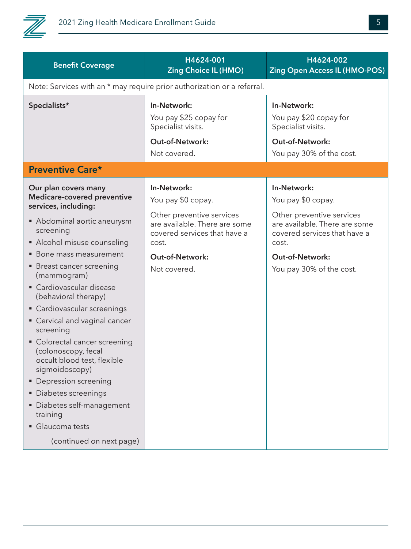

| <b>Benefit Coverage</b>                                                                                                                                                                                                                                                                                                                                                                                                    | H4624-001<br><b>Zing Choice IL (HMO)</b>                                                                                                 | H4624-002<br><b>Zing Open Access IL (HMO-POS)</b>                                                                                        |
|----------------------------------------------------------------------------------------------------------------------------------------------------------------------------------------------------------------------------------------------------------------------------------------------------------------------------------------------------------------------------------------------------------------------------|------------------------------------------------------------------------------------------------------------------------------------------|------------------------------------------------------------------------------------------------------------------------------------------|
|                                                                                                                                                                                                                                                                                                                                                                                                                            | Note: Services with an * may require prior authorization or a referral.                                                                  |                                                                                                                                          |
| Specialists*                                                                                                                                                                                                                                                                                                                                                                                                               | In-Network:<br>You pay \$25 copay for<br>Specialist visits.<br><b>Out-of-Network:</b><br>Not covered.                                    | In-Network:<br>You pay \$20 copay for<br>Specialist visits.<br><b>Out-of-Network:</b><br>You pay 30% of the cost.                        |
| <b>Preventive Care*</b>                                                                                                                                                                                                                                                                                                                                                                                                    |                                                                                                                                          |                                                                                                                                          |
| Our plan covers many<br>Medicare-covered preventive<br>services, including:<br>Abdominal aortic aneurysm<br>screening<br>• Alcohol misuse counseling                                                                                                                                                                                                                                                                       | In-Network:<br>You pay \$0 copay.<br>Other preventive services<br>are available. There are some<br>covered services that have a<br>cost. | In-Network:<br>You pay \$0 copay.<br>Other preventive services<br>are available. There are some<br>covered services that have a<br>cost. |
| • Bone mass measurement<br>• Breast cancer screening<br>(mammogram)<br>• Cardiovascular disease<br>(behavioral therapy)<br>• Cardiovascular screenings<br>• Cervical and vaginal cancer<br>screening<br>• Colorectal cancer screening<br>(colonoscopy, fecal<br>occult blood test, flexible<br>sigmoidoscopy)<br>• Depression screening<br>• Diabetes screenings<br>Diabetes self-management<br>training<br>Glaucoma tests | <b>Out-of-Network:</b><br>Not covered.                                                                                                   | <b>Out-of-Network:</b><br>You pay 30% of the cost.                                                                                       |
| (continued on next page)                                                                                                                                                                                                                                                                                                                                                                                                   |                                                                                                                                          |                                                                                                                                          |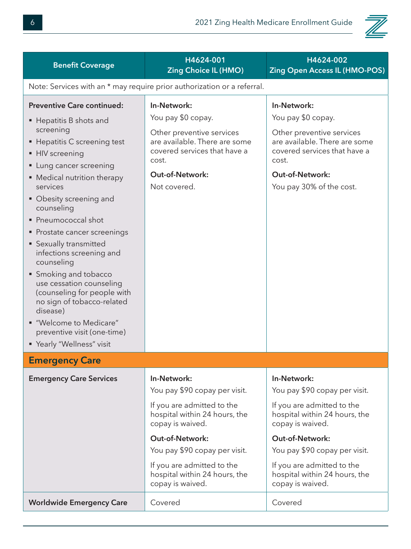

| <b>Benefit Coverage</b>                                                                                                                                                                                                                                                                                                                                                                                                                                                                                                                                                                   | H4624-001<br><b>Zing Choice IL (HMO)</b>                                                                                                                                                                                                                                      | H4624-002<br><b>Zing Open Access IL (HMO-POS)</b>                                                                                                                                                                                                                      |  |
|-------------------------------------------------------------------------------------------------------------------------------------------------------------------------------------------------------------------------------------------------------------------------------------------------------------------------------------------------------------------------------------------------------------------------------------------------------------------------------------------------------------------------------------------------------------------------------------------|-------------------------------------------------------------------------------------------------------------------------------------------------------------------------------------------------------------------------------------------------------------------------------|------------------------------------------------------------------------------------------------------------------------------------------------------------------------------------------------------------------------------------------------------------------------|--|
| Note: Services with an * may require prior authorization or a referral.                                                                                                                                                                                                                                                                                                                                                                                                                                                                                                                   |                                                                                                                                                                                                                                                                               |                                                                                                                                                                                                                                                                        |  |
| <b>Preventive Care continued:</b><br>■ Hepatitis B shots and<br>screening<br>■ Hepatitis C screening test<br>• HIV screening<br>• Lung cancer screening<br>• Medical nutrition therapy<br>services<br>• Obesity screening and<br>counseling<br>• Pneumococcal shot<br>• Prostate cancer screenings<br>• Sexually transmitted<br>infections screening and<br>counseling<br>• Smoking and tobacco<br>use cessation counseling<br>(counseling for people with<br>no sign of tobacco-related<br>disease)<br>"Welcome to Medicare"<br>preventive visit (one-time)<br>" Yearly "Wellness" visit | In-Network:<br>You pay \$0 copay.<br>Other preventive services<br>are available. There are some<br>covered services that have a<br>cost.<br><b>Out-of-Network:</b><br>Not covered.                                                                                            | In-Network:<br>You pay \$0 copay.<br>Other preventive services<br>are available. There are some<br>covered services that have a<br>cost.<br><b>Out-of-Network:</b><br>You pay 30% of the cost.                                                                         |  |
| <b>Emergency Care</b>                                                                                                                                                                                                                                                                                                                                                                                                                                                                                                                                                                     |                                                                                                                                                                                                                                                                               |                                                                                                                                                                                                                                                                        |  |
| <b>Emergency Care Services</b>                                                                                                                                                                                                                                                                                                                                                                                                                                                                                                                                                            | In-Network:<br>You pay \$90 copay per visit.<br>If you are admitted to the<br>hospital within 24 hours, the<br>copay is waived.<br><b>Out-of-Network:</b><br>You pay \$90 copay per visit.<br>If you are admitted to the<br>hospital within 24 hours, the<br>copay is waived. | In-Network:<br>You pay \$90 copay per visit.<br>If you are admitted to the<br>hospital within 24 hours, the<br>copay is waived.<br>Out-of-Network:<br>You pay \$90 copay per visit.<br>If you are admitted to the<br>hospital within 24 hours, the<br>copay is waived. |  |
| <b>Worldwide Emergency Care</b>                                                                                                                                                                                                                                                                                                                                                                                                                                                                                                                                                           | Covered                                                                                                                                                                                                                                                                       | Covered                                                                                                                                                                                                                                                                |  |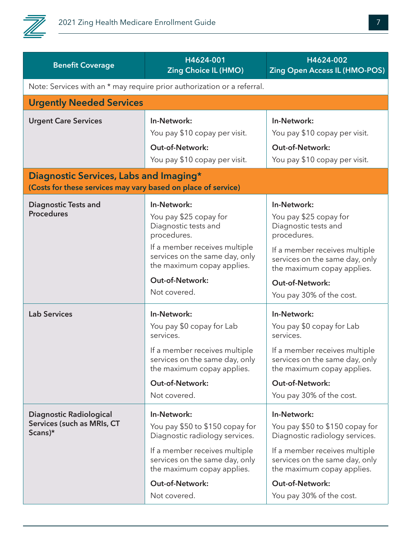

| <b>Benefit Coverage</b>                                                                                 | H4624-001<br><b>Zing Choice IL (HMO)</b>                                                      | H4624-002<br><b>Zing Open Access IL (HMO-POS)</b>                                             |  |
|---------------------------------------------------------------------------------------------------------|-----------------------------------------------------------------------------------------------|-----------------------------------------------------------------------------------------------|--|
| Note: Services with an * may require prior authorization or a referral.                                 |                                                                                               |                                                                                               |  |
| <b>Urgently Needed Services</b>                                                                         |                                                                                               |                                                                                               |  |
| <b>Urgent Care Services</b>                                                                             | In-Network:                                                                                   | In-Network:                                                                                   |  |
|                                                                                                         | You pay \$10 copay per visit.                                                                 | You pay \$10 copay per visit.                                                                 |  |
|                                                                                                         | <b>Out-of-Network:</b>                                                                        | <b>Out-of-Network:</b>                                                                        |  |
|                                                                                                         | You pay \$10 copay per visit.                                                                 | You pay \$10 copay per visit.                                                                 |  |
| Diagnostic Services, Labs and Imaging*<br>(Costs for these services may vary based on place of service) |                                                                                               |                                                                                               |  |
| <b>Diagnostic Tests and</b>                                                                             | In-Network:                                                                                   | In-Network:                                                                                   |  |
| <b>Procedures</b>                                                                                       | You pay \$25 copay for<br>Diagnostic tests and<br>procedures.                                 | You pay \$25 copay for<br>Diagnostic tests and<br>procedures.                                 |  |
|                                                                                                         | If a member receives multiple<br>services on the same day, only<br>the maximum copay applies. | If a member receives multiple<br>services on the same day, only<br>the maximum copay applies. |  |
|                                                                                                         | <b>Out-of-Network:</b>                                                                        | Out-of-Network:                                                                               |  |
|                                                                                                         | Not covered.                                                                                  | You pay 30% of the cost.                                                                      |  |
| <b>Lab Services</b>                                                                                     | In-Network:                                                                                   | In-Network:                                                                                   |  |
|                                                                                                         | You pay \$0 copay for Lab<br>services.                                                        | You pay \$0 copay for Lab<br>services.                                                        |  |
|                                                                                                         | If a member receives multiple<br>services on the same day, only<br>the maximum copay applies. | If a member receives multiple<br>services on the same day, only<br>the maximum copay applies. |  |
|                                                                                                         | <b>Out-of-Network:</b>                                                                        | <b>Out-of-Network:</b>                                                                        |  |
|                                                                                                         | Not covered.                                                                                  | You pay 30% of the cost.                                                                      |  |
| <b>Diagnostic Radiological</b><br>Services (such as MRIs, CT<br>Scans)*                                 | In-Network:<br>You pay \$50 to \$150 copay for<br>Diagnostic radiology services.              | In-Network:<br>You pay \$50 to \$150 copay for<br>Diagnostic radiology services.              |  |
|                                                                                                         | If a member receives multiple<br>services on the same day, only<br>the maximum copay applies. | If a member receives multiple<br>services on the same day, only<br>the maximum copay applies. |  |
|                                                                                                         | <b>Out-of-Network:</b>                                                                        | Out-of-Network:                                                                               |  |
|                                                                                                         | Not covered.                                                                                  | You pay 30% of the cost.                                                                      |  |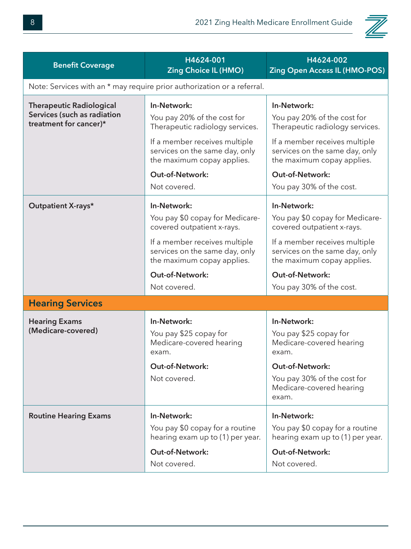

| <b>Benefit Coverage</b>                                                                  | H4624-001<br><b>Zing Choice IL (HMO)</b>                                                                                                                                                                                 | H4624-002<br><b>Zing Open Access IL (HMO-POS)</b>                                                                                                                                                                                    |
|------------------------------------------------------------------------------------------|--------------------------------------------------------------------------------------------------------------------------------------------------------------------------------------------------------------------------|--------------------------------------------------------------------------------------------------------------------------------------------------------------------------------------------------------------------------------------|
|                                                                                          | Note: Services with an * may require prior authorization or a referral.                                                                                                                                                  |                                                                                                                                                                                                                                      |
| <b>Therapeutic Radiological</b><br>Services (such as radiation<br>treatment for cancer)* | In-Network:<br>You pay 20% of the cost for<br>Therapeutic radiology services.<br>If a member receives multiple<br>services on the same day, only<br>the maximum copay applies.<br><b>Out-of-Network:</b><br>Not covered. | In-Network:<br>You pay 20% of the cost for<br>Therapeutic radiology services.<br>If a member receives multiple<br>services on the same day, only<br>the maximum copay applies.<br><b>Out-of-Network:</b><br>You pay 30% of the cost. |
| Outpatient X-rays*                                                                       | In-Network:<br>You pay \$0 copay for Medicare-<br>covered outpatient x-rays.<br>If a member receives multiple<br>services on the same day, only<br>the maximum copay applies.<br><b>Out-of-Network:</b><br>Not covered.  | In-Network:<br>You pay \$0 copay for Medicare-<br>covered outpatient x-rays.<br>If a member receives multiple<br>services on the same day, only<br>the maximum copay applies.<br><b>Out-of-Network:</b><br>You pay 30% of the cost.  |
| <b>Hearing Services</b>                                                                  |                                                                                                                                                                                                                          |                                                                                                                                                                                                                                      |
| <b>Hearing Exams</b><br>(Medicare-covered)                                               | In-Network:<br>You pay \$25 copay for<br>Medicare-covered hearing<br>exam.<br><b>Out-of-Network:</b><br>Not covered.                                                                                                     | In-Network:<br>You pay \$25 copay for<br>Medicare-covered hearing<br>exam.<br><b>Out-of-Network:</b><br>You pay 30% of the cost for                                                                                                  |
|                                                                                          |                                                                                                                                                                                                                          | Medicare-covered hearing<br>exam.                                                                                                                                                                                                    |
| <b>Routine Hearing Exams</b>                                                             | In-Network:<br>You pay \$0 copay for a routine<br>hearing exam up to (1) per year.<br><b>Out-of-Network:</b><br>Not covered.                                                                                             | In-Network:<br>You pay \$0 copay for a routine<br>hearing exam up to (1) per year.<br><b>Out-of-Network:</b><br>Not covered.                                                                                                         |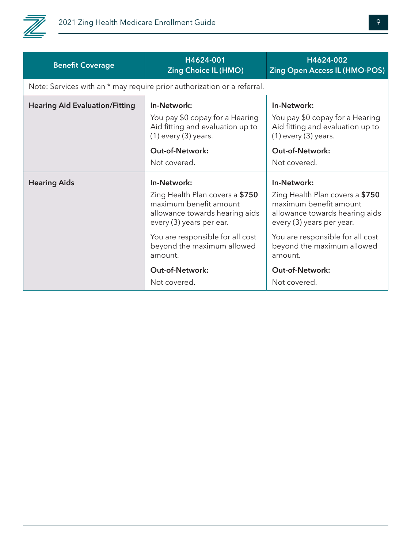

| <b>Benefit Coverage</b>               | H4624-001<br><b>Zing Choice IL (HMO)</b>                                                                                                                 | H4624-002<br><b>Zing Open Access IL (HMO-POS)</b>                                                                                                        |  |
|---------------------------------------|----------------------------------------------------------------------------------------------------------------------------------------------------------|----------------------------------------------------------------------------------------------------------------------------------------------------------|--|
|                                       | Note: Services with an * may require prior authorization or a referral.                                                                                  |                                                                                                                                                          |  |
| <b>Hearing Aid Evaluation/Fitting</b> | In-Network:<br>You pay \$0 copay for a Hearing<br>Aid fitting and evaluation up to<br>$(1)$ every $(3)$ years.<br><b>Out-of-Network:</b><br>Not covered. | In-Network:<br>You pay \$0 copay for a Hearing<br>Aid fitting and evaluation up to<br>$(1)$ every $(3)$ years.<br><b>Out-of-Network:</b><br>Not covered. |  |
| <b>Hearing Aids</b>                   | In-Network:<br>Zing Health Plan covers a \$750<br>maximum benefit amount<br>allowance towards hearing aids<br>every (3) years per ear.                   | In-Network:<br>Zing Health Plan covers a \$750<br>maximum benefit amount<br>allowance towards hearing aids<br>every (3) years per year.                  |  |
|                                       | You are responsible for all cost<br>beyond the maximum allowed<br>amount.<br><b>Out-of-Network:</b><br>Not covered.                                      | You are responsible for all cost<br>beyond the maximum allowed<br>amount.<br><b>Out-of-Network:</b><br>Not covered.                                      |  |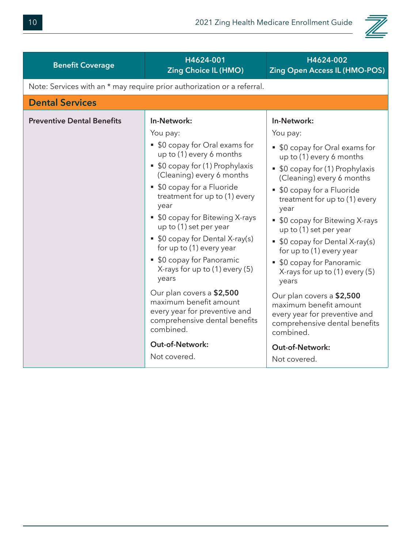

| <b>Benefit Coverage</b>           | H4624-001<br><b>Zing Choice IL (HMO)</b>                                                                                                                                                                                                                                                                                                                                                                                                                                                                                                                                                                      | H4624-002<br><b>Zing Open Access IL (HMO-POS)</b>                                                                                                                                                                                                                                                                                                                                                                                                                                                                                                                                                                |
|-----------------------------------|---------------------------------------------------------------------------------------------------------------------------------------------------------------------------------------------------------------------------------------------------------------------------------------------------------------------------------------------------------------------------------------------------------------------------------------------------------------------------------------------------------------------------------------------------------------------------------------------------------------|------------------------------------------------------------------------------------------------------------------------------------------------------------------------------------------------------------------------------------------------------------------------------------------------------------------------------------------------------------------------------------------------------------------------------------------------------------------------------------------------------------------------------------------------------------------------------------------------------------------|
|                                   | Note: Services with an * may require prior authorization or a referral.                                                                                                                                                                                                                                                                                                                                                                                                                                                                                                                                       |                                                                                                                                                                                                                                                                                                                                                                                                                                                                                                                                                                                                                  |
| <b>Dental Services</b>            |                                                                                                                                                                                                                                                                                                                                                                                                                                                                                                                                                                                                               |                                                                                                                                                                                                                                                                                                                                                                                                                                                                                                                                                                                                                  |
| <b>Preventive Dental Benefits</b> | In-Network:<br>You pay:<br>• \$0 copay for Oral exams for<br>up to (1) every 6 months<br>• \$0 copay for (1) Prophylaxis<br>(Cleaning) every 6 months<br>• \$0 copay for a Fluoride<br>treatment for up to (1) every<br>year<br>• \$0 copay for Bitewing X-rays<br>up to (1) set per year<br>• \$0 copay for Dental X-ray(s)<br>for up to (1) every year<br>• \$0 copay for Panoramic<br>X-rays for up to $(1)$ every $(5)$<br>years<br>Our plan covers a \$2,500<br>maximum benefit amount<br>every year for preventive and<br>comprehensive dental benefits<br>combined.<br>Out-of-Network:<br>Not covered. | In-Network:<br>You pay:<br>• \$0 copay for Oral exams for<br>up to (1) every 6 months<br>• \$0 copay for (1) Prophylaxis<br>(Cleaning) every 6 months<br>\$0 copay for a Fluoride<br>treatment for up to (1) every<br>year<br>• \$0 copay for Bitewing X-rays<br>up to (1) set per year<br>\$0 copay for Dental X-ray(s)<br>for up to (1) every year<br>• \$0 copay for Panoramic<br>X-rays for up to $(1)$ every $(5)$<br>years<br>Our plan covers a \$2,500<br>maximum benefit amount<br>every year for preventive and<br>comprehensive dental benefits<br>combined.<br><b>Out-of-Network:</b><br>Not covered. |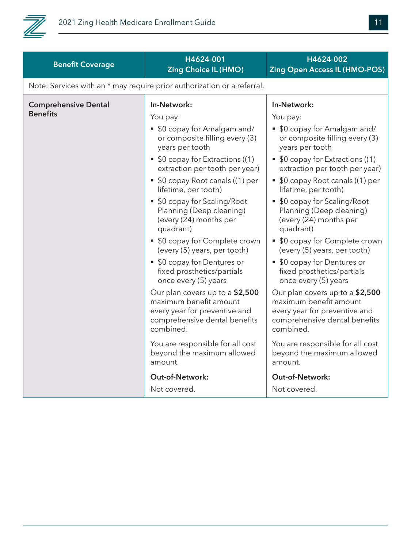

| <b>Benefit Coverage</b>     | H4624-001<br><b>Zing Choice IL (HMO)</b>                                                                                                 | H4624-002<br><b>Zing Open Access IL (HMO-POS)</b>                                                                                        |
|-----------------------------|------------------------------------------------------------------------------------------------------------------------------------------|------------------------------------------------------------------------------------------------------------------------------------------|
|                             | Note: Services with an * may require prior authorization or a referral.                                                                  |                                                                                                                                          |
| <b>Comprehensive Dental</b> | In-Network:                                                                                                                              | In-Network:                                                                                                                              |
| <b>Benefits</b>             | You pay:                                                                                                                                 | You pay:                                                                                                                                 |
|                             | • \$0 copay for Amalgam and/<br>or composite filling every (3)<br>years per tooth                                                        | • \$0 copay for Amalgam and/<br>or composite filling every (3)<br>years per tooth                                                        |
|                             | • \$0 copay for Extractions ((1)<br>extraction per tooth per year)                                                                       | • \$0 copay for Extractions ((1)<br>extraction per tooth per year)                                                                       |
|                             | • \$0 copay Root canals ((1) per<br>lifetime, per tooth)                                                                                 | • \$0 copay Root canals ((1) per<br>lifetime, per tooth)                                                                                 |
|                             | • \$0 copay for Scaling/Root<br>Planning (Deep cleaning)<br>(every (24) months per<br>quadrant)                                          | • \$0 copay for Scaling/Root<br>Planning (Deep cleaning)<br>(every (24) months per<br>quadrant)                                          |
|                             | • \$0 copay for Complete crown<br>(every (5) years, per tooth)                                                                           | • \$0 copay for Complete crown<br>(every (5) years, per tooth)                                                                           |
|                             | • \$0 copay for Dentures or<br>fixed prosthetics/partials<br>once every (5) years                                                        | • \$0 copay for Dentures or<br>fixed prosthetics/partials<br>once every (5) years                                                        |
|                             | Our plan covers up to a \$2,500<br>maximum benefit amount<br>every year for preventive and<br>comprehensive dental benefits<br>combined. | Our plan covers up to a \$2,500<br>maximum benefit amount<br>every year for preventive and<br>comprehensive dental benefits<br>combined. |
|                             | You are responsible for all cost<br>beyond the maximum allowed<br>amount.                                                                | You are responsible for all cost<br>beyond the maximum allowed<br>amount.                                                                |
|                             | Out-of-Network:                                                                                                                          | Out-of-Network:                                                                                                                          |
|                             | Not covered.                                                                                                                             | Not covered.                                                                                                                             |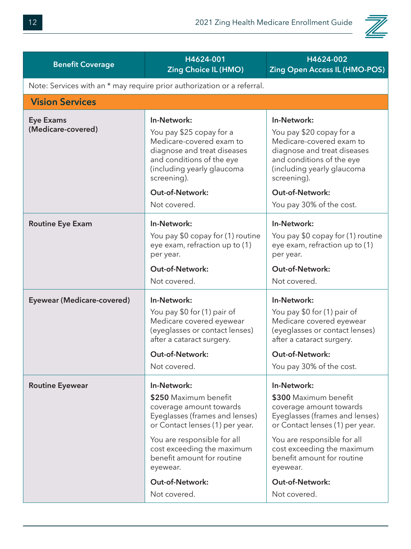

| <b>Benefit Coverage</b>                | H4624-001<br><b>Zing Choice IL (HMO)</b>                                                                                                                                                                                                                                       | H4624-002<br><b>Zing Open Access IL (HMO-POS)</b>                                                                                                                                                                                                                                     |
|----------------------------------------|--------------------------------------------------------------------------------------------------------------------------------------------------------------------------------------------------------------------------------------------------------------------------------|---------------------------------------------------------------------------------------------------------------------------------------------------------------------------------------------------------------------------------------------------------------------------------------|
|                                        | Note: Services with an * may require prior authorization or a referral.                                                                                                                                                                                                        |                                                                                                                                                                                                                                                                                       |
| <b>Vision Services</b>                 |                                                                                                                                                                                                                                                                                |                                                                                                                                                                                                                                                                                       |
| <b>Eye Exams</b><br>(Medicare-covered) | In-Network:<br>You pay \$25 copay for a<br>Medicare-covered exam to<br>diagnose and treat diseases<br>and conditions of the eye<br>(including yearly glaucoma<br>screening).<br><b>Out-of-Network:</b><br>Not covered.                                                         | In-Network:<br>You pay \$20 copay for a<br>Medicare-covered exam to<br>diagnose and treat diseases<br>and conditions of the eye<br>(including yearly glaucoma<br>screening).<br><b>Out-of-Network:</b><br>You pay 30% of the cost.                                                    |
| <b>Routine Eye Exam</b>                | In-Network:<br>You pay \$0 copay for (1) routine<br>eye exam, refraction up to (1)<br>per year.<br><b>Out-of-Network:</b><br>Not covered.                                                                                                                                      | In-Network:<br>You pay \$0 copay for (1) routine<br>eye exam, refraction up to (1)<br>per year.<br><b>Out-of-Network:</b><br>Not covered.                                                                                                                                             |
| <b>Eyewear (Medicare-covered)</b>      | In-Network:<br>You pay \$0 for (1) pair of<br>Medicare covered eyewear<br>(eyeglasses or contact lenses)<br>after a cataract surgery.<br>Out-of-Network:<br>Not covered.                                                                                                       | In-Network:<br>You pay \$0 for (1) pair of<br>Medicare covered eyewear<br>(eyeglasses or contact lenses)<br>after a cataract surgery.<br><b>Out-of-Network:</b><br>You pay 30% of the cost.                                                                                           |
| <b>Routine Eyewear</b>                 | In-Network:<br>\$250 Maximum benefit<br>coverage amount towards<br>Eyeglasses (frames and lenses)<br>or Contact lenses (1) per year.<br>You are responsible for all<br>cost exceeding the maximum<br>benefit amount for routine<br>eyewear.<br>Out-of-Network:<br>Not covered. | In-Network:<br>\$300 Maximum benefit<br>coverage amount towards<br>Eyeglasses (frames and lenses)<br>or Contact lenses (1) per year.<br>You are responsible for all<br>cost exceeding the maximum<br>benefit amount for routine<br>eyewear.<br><b>Out-of-Network:</b><br>Not covered. |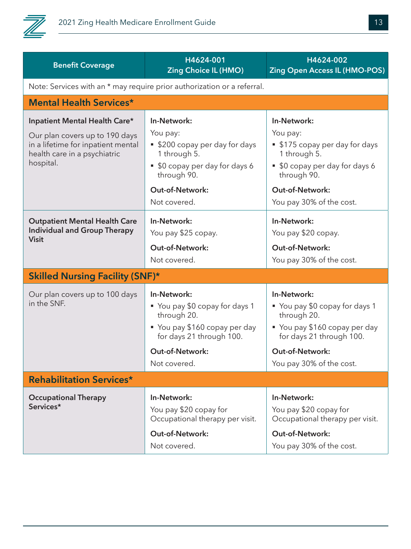

| <b>Benefit Coverage</b>                                                                                                                            | H4624-001<br><b>Zing Choice IL (HMO)</b>                                                                                                                             | H4624-002<br><b>Zing Open Access IL (HMO-POS)</b>                                                                                                                         |
|----------------------------------------------------------------------------------------------------------------------------------------------------|----------------------------------------------------------------------------------------------------------------------------------------------------------------------|---------------------------------------------------------------------------------------------------------------------------------------------------------------------------|
|                                                                                                                                                    | Note: Services with an * may require prior authorization or a referral.                                                                                              |                                                                                                                                                                           |
| <b>Mental Health Services*</b>                                                                                                                     |                                                                                                                                                                      |                                                                                                                                                                           |
| Inpatient Mental Health Care*<br>Our plan covers up to 190 days<br>in a lifetime for inpatient mental<br>health care in a psychiatric<br>hospital. | In-Network:<br>You pay:<br>• \$200 copay per day for days<br>1 through 5.<br>• \$0 copay per day for days 6<br>through 90.<br><b>Out-of-Network:</b><br>Not covered. | In-Network:<br>You pay:<br>■ \$175 copay per day for days<br>1 through 5.<br>• \$0 copay per day for days 6<br>through 90.<br>Out-of-Network:<br>You pay 30% of the cost. |
| <b>Outpatient Mental Health Care</b><br><b>Individual and Group Therapy</b><br><b>Visit</b>                                                        | In-Network:<br>You pay \$25 copay.<br><b>Out-of-Network:</b><br>Not covered.                                                                                         | In-Network:<br>You pay \$20 copay.<br>Out-of-Network:<br>You pay 30% of the cost.                                                                                         |
| <b>Skilled Nursing Facility (SNF)*</b>                                                                                                             |                                                                                                                                                                      |                                                                                                                                                                           |
| Our plan covers up to 100 days<br>in the SNF.                                                                                                      | In-Network:<br>• You pay \$0 copay for days 1<br>through 20.<br>• You pay \$160 copay per day<br>for days 21 through 100.                                            | In-Network:<br>• You pay \$0 copay for days 1<br>through 20.<br>■ You pay \$160 copay per day<br>for days 21 through 100.                                                 |
|                                                                                                                                                    | Out-of-Network:                                                                                                                                                      | Out-of-Network:                                                                                                                                                           |
|                                                                                                                                                    | Not covered.                                                                                                                                                         | You pay 30% of the cost.                                                                                                                                                  |
| <b>Rehabilitation Services*</b>                                                                                                                    |                                                                                                                                                                      |                                                                                                                                                                           |
| <b>Occupational Therapy</b><br>Services*                                                                                                           | In-Network:<br>You pay \$20 copay for<br>Occupational therapy per visit.<br>Out-of-Network:                                                                          | In-Network:<br>You pay \$20 copay for<br>Occupational therapy per visit.<br><b>Out-of-Network:</b>                                                                        |
|                                                                                                                                                    | Not covered.                                                                                                                                                         | You pay 30% of the cost.                                                                                                                                                  |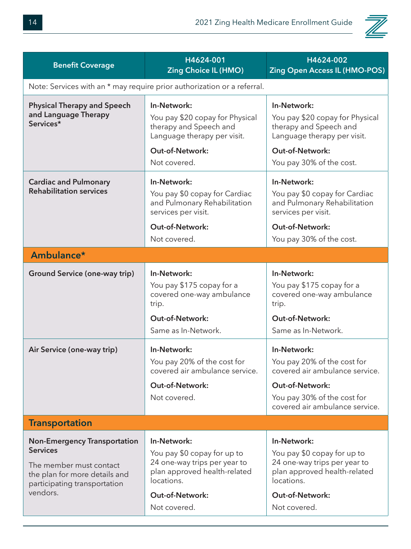

| <b>Benefit Coverage</b>                                                                                                                                        | H4624-001<br><b>Zing Choice IL (HMO)</b>                                                                                                                           | H4624-002<br><b>Zing Open Access IL (HMO-POS)</b>                                                                                                                       |  |
|----------------------------------------------------------------------------------------------------------------------------------------------------------------|--------------------------------------------------------------------------------------------------------------------------------------------------------------------|-------------------------------------------------------------------------------------------------------------------------------------------------------------------------|--|
| Note: Services with an * may require prior authorization or a referral.                                                                                        |                                                                                                                                                                    |                                                                                                                                                                         |  |
| <b>Physical Therapy and Speech</b><br>and Language Therapy<br>Services*                                                                                        | In-Network:<br>You pay \$20 copay for Physical<br>therapy and Speech and<br>Language therapy per visit.                                                            | In-Network:<br>You pay \$20 copay for Physical<br>therapy and Speech and<br>Language therapy per visit.                                                                 |  |
|                                                                                                                                                                | <b>Out-of-Network:</b><br>Not covered.                                                                                                                             | <b>Out-of-Network:</b><br>You pay 30% of the cost.                                                                                                                      |  |
| <b>Cardiac and Pulmonary</b><br><b>Rehabilitation services</b>                                                                                                 | In-Network:<br>You pay \$0 copay for Cardiac<br>and Pulmonary Rehabilitation<br>services per visit.<br><b>Out-of-Network:</b><br>Not covered.                      | In-Network:<br>You pay \$0 copay for Cardiac<br>and Pulmonary Rehabilitation<br>services per visit.<br>Out-of-Network:<br>You pay 30% of the cost.                      |  |
| Ambulance*                                                                                                                                                     |                                                                                                                                                                    |                                                                                                                                                                         |  |
| <b>Ground Service (one-way trip)</b>                                                                                                                           | In-Network:<br>You pay \$175 copay for a<br>covered one-way ambulance<br>trip.<br><b>Out-of-Network:</b><br>Same as In-Network.                                    | In-Network:<br>You pay \$175 copay for a<br>covered one-way ambulance<br>trip.<br>Out-of-Network:<br>Same as In-Network.                                                |  |
| Air Service (one-way trip)                                                                                                                                     | In-Network:<br>You pay 20% of the cost for<br>covered air ambulance service.<br><b>Out-of-Network:</b><br>Not covered.                                             | In-Network:<br>You pay 20% of the cost for<br>covered air ambulance service.<br><b>Out-of-Network:</b><br>You pay 30% of the cost for<br>covered air ambulance service. |  |
| <b>Transportation</b>                                                                                                                                          |                                                                                                                                                                    |                                                                                                                                                                         |  |
| <b>Non-Emergency Transportation</b><br><b>Services</b><br>The member must contact<br>the plan for more details and<br>participating transportation<br>vendors. | In-Network:<br>You pay \$0 copay for up to<br>24 one-way trips per year to<br>plan approved health-related<br>locations.<br><b>Out-of-Network:</b><br>Not covered. | In-Network:<br>You pay \$0 copay for up to<br>24 one-way trips per year to<br>plan approved health-related<br>locations.<br><b>Out-of-Network:</b><br>Not covered.      |  |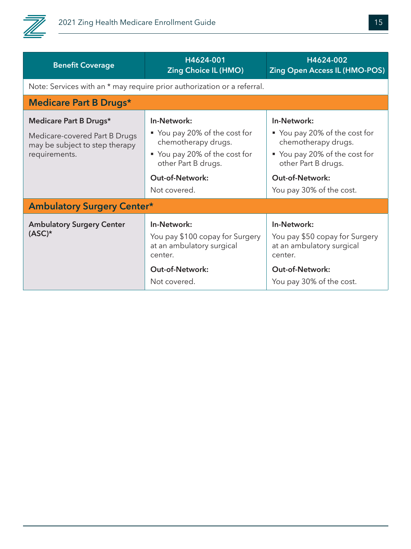

| <b>Benefit Coverage</b>                                         | H4624-001<br><b>Zing Choice IL (HMO)</b>                                                                                         | H4624-002<br><b>Zing Open Access IL (HMO-POS)</b>                                                                                           |
|-----------------------------------------------------------------|----------------------------------------------------------------------------------------------------------------------------------|---------------------------------------------------------------------------------------------------------------------------------------------|
|                                                                 | Note: Services with an * may require prior authorization or a referral.                                                          |                                                                                                                                             |
| <b>Medicare Part B Drugs*</b>                                   |                                                                                                                                  |                                                                                                                                             |
| Medicare Part B Drugs*                                          | In-Network:                                                                                                                      | In-Network:                                                                                                                                 |
| Medicare-covered Part B Drugs<br>may be subject to step therapy | ■ You pay 20% of the cost for<br>chemotherapy drugs.                                                                             | ■ You pay 20% of the cost for<br>chemotherapy drugs.                                                                                        |
| requirements.                                                   | ■ You pay 20% of the cost for<br>other Part B drugs.                                                                             | ■ You pay 20% of the cost for<br>other Part B drugs.                                                                                        |
|                                                                 |                                                                                                                                  |                                                                                                                                             |
|                                                                 | <b>Out-of-Network:</b>                                                                                                           | <b>Out-of-Network:</b>                                                                                                                      |
|                                                                 | Not covered.                                                                                                                     | You pay 30% of the cost.                                                                                                                    |
| <b>Ambulatory Surgery Center*</b>                               |                                                                                                                                  |                                                                                                                                             |
| <b>Ambulatory Surgery Center</b><br>$(ASC)^*$                   | In-Network:<br>You pay \$100 copay for Surgery<br>at an ambulatory surgical<br>center.<br><b>Out-of-Network:</b><br>Not covered. | In-Network:<br>You pay \$50 copay for Surgery<br>at an ambulatory surgical<br>center.<br><b>Out-of-Network:</b><br>You pay 30% of the cost. |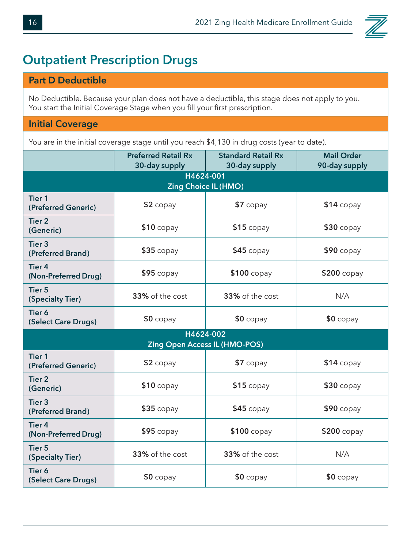

#### **Outpatient Prescription Drugs**

#### **Part D Deductible**

No Deductible. Because your plan does not have a deductible, this stage does not apply to you. You start the Initial Coverage Stage when you fill your first prescription.

#### **Initial Coverage**

You are in the initial coverage stage until you reach \$4,130 in drug costs (year to date).

|                                        | <b>Preferred Retail Rx</b>  | <b>Standard Retail Rx</b> | <b>Mail Order</b> |
|----------------------------------------|-----------------------------|---------------------------|-------------------|
|                                        | 30-day supply<br>H4624-001  | 30-day supply             | 90-day supply     |
|                                        | <b>Zing Choice IL (HMO)</b> |                           |                   |
| <b>Tier 1</b><br>(Preferred Generic)   | $$2$ copay                  | $$7$ copay                | $$14$ copay       |
| <b>Tier 2</b><br>(Generic)             | $$10$ copay                 | $$15$ copay               | $$30$ copay       |
| Tier <sub>3</sub><br>(Preferred Brand) | $$35$ copay                 | $$45$ copay               | $$90$ copay       |
| <b>Tier 4</b><br>(Non-Preferred Drug)  | $$95$ copay                 | \$100 copay               | \$200 copay       |
| <b>Tier 5</b><br>(Specialty Tier)      | 33% of the cost             | 33% of the cost           | N/A               |
| Tier 6<br>(Select Care Drugs)          | $$0$ copay                  | $$0$ copay                | $$0$ copay        |
| H4624-002                              |                             |                           |                   |
| <b>Zing Open Access IL (HMO-POS)</b>   |                             |                           |                   |
| <b>Tier 1</b><br>(Preferred Generic)   | $$2$ copay                  | $$7$ copay                | $$14$ copay       |
| <b>Tier 2</b><br>(Generic)             | $$10$ copay                 | $$15$ copay               | $$30$ copay       |
| Tier <sub>3</sub><br>(Preferred Brand) | $$35$ copay                 | $$45$ copay               | $$90$ copay       |
| <b>Tier 4</b><br>(Non-Preferred Drug)  | $$95$ copay                 | $$100$ copay              | \$200 copay       |
| <b>Tier 5</b><br>(Specialty Tier)      | 33% of the cost             | 33% of the cost           | N/A               |
| Tier 6<br>(Select Care Drugs)          | $$0$ copay                  | $$0$ copay                | $$0$ copay        |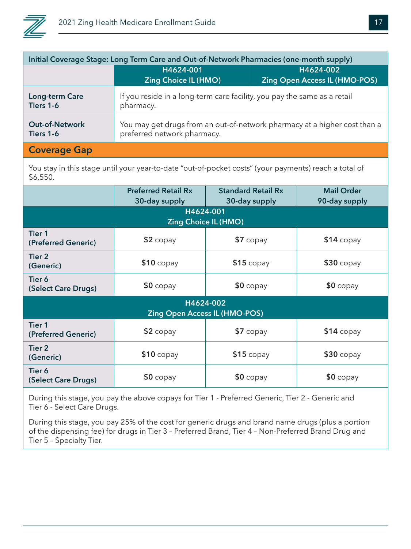

| Initial Coverage Stage: Long Term Care and Out-of-Network Pharmacies (one-month supply) |                                                                                                          |                                                   |
|-----------------------------------------------------------------------------------------|----------------------------------------------------------------------------------------------------------|---------------------------------------------------|
|                                                                                         | H4624-001<br><b>Zing Choice IL (HMO)</b>                                                                 | H4624-002<br><b>Zing Open Access IL (HMO-POS)</b> |
| <b>Long-term Care</b><br>Tiers 1-6                                                      | If you reside in a long-term care facility, you pay the same as a retail<br>pharmacy.                    |                                                   |
| <b>Out-of-Network</b><br>Tiers 1-6                                                      | You may get drugs from an out-of-network pharmacy at a higher cost than a<br>preferred network pharmacy. |                                                   |
| <b>Coverage Gap</b>                                                                     |                                                                                                          |                                                   |

You stay in this stage until your year-to-date "out-of-pocket costs" (your payments) reach a total of \$6,550.

|                                                   | <b>Preferred Retail Rx</b><br>30-day supply | <b>Standard Retail Rx</b><br>30-day supply | <b>Mail Order</b><br>90-day supply |  |
|---------------------------------------------------|---------------------------------------------|--------------------------------------------|------------------------------------|--|
| H4624-001<br><b>Zing Choice IL (HMO)</b>          |                                             |                                            |                                    |  |
| <b>Tier 1</b><br>(Preferred Generic)              | $$2$ copay                                  | $$7$ copay                                 | $$14$ copay                        |  |
| Tier 2<br>(Generic)                               | $$10$ copay                                 | $$15$ copay                                | $$30$ copay                        |  |
| Tier 6<br>(Select Care Drugs)                     | $$0$ copay                                  | $$0$ copay                                 | $$0$ copay                         |  |
| H4624-002<br><b>Zing Open Access IL (HMO-POS)</b> |                                             |                                            |                                    |  |
| <b>Tier 1</b><br>(Preferred Generic)              | $$2$ copay                                  | $$7$ copay                                 | $$14$ copay                        |  |
| Tier <sub>2</sub><br>(Generic)                    | $$10$ copay                                 | $$15$ copay                                | $$30$ copay                        |  |
| Tier 6<br>(Select Care Drugs)                     | $$0$ copay                                  | $$0$ copay                                 | $$0$ copay                         |  |

During this stage, you pay the above copays for Tier 1 - Preferred Generic, Tier 2 - Generic and Tier 6 - Select Care Drugs.

During this stage, you pay 25% of the cost for generic drugs and brand name drugs (plus a portion of the dispensing fee) for drugs in Tier 3 – Preferred Brand, Tier 4 – Non-Preferred Brand Drug and Tier 5 – Specialty Tier.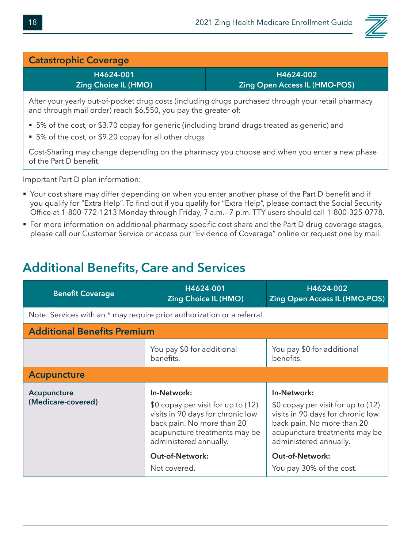

#### **Catastrophic Coverage**

**H4624-001 Zing Choice IL (HMO)**

**H4624-002 Zing Open Access IL (HMO-POS)**

After your yearly out-of-pocket drug costs (including drugs purchased through your retail pharmacy and through mail order) reach \$6,550, you pay the greater of:

- 5% of the cost, or \$3.70 copay for generic (including brand drugs treated as generic) and
- 5% of the cost, or \$9.20 copay for all other drugs

Cost-Sharing may change depending on the pharmacy you choose and when you enter a new phase of the Part D benefit.

Important Part D plan information:

- Your cost share may differ depending on when you enter another phase of the Part D benefit and if you qualify for "Extra Help". To find out if you qualify for "Extra Help", please contact the Social Security Office at 1-800-772-1213 Monday through Friday, 7 a.m.—7 p.m. TTY users should call 1-800-325-0778.
- For more information on additional pharmacy specific cost share and the Part D drug coverage stages, please call our Customer Service or access our "Evidence of Coverage" online or request one by mail.

#### **Additional Benefits, Care and Services**

| <b>Benefit Coverage</b>                                                 | H4624-001<br><b>Zing Choice IL (HMO)</b>                                                                                                                                                                  | H4624-002<br><b>Zing Open Access IL (HMO-POS)</b>                                                                                                                                                         |  |
|-------------------------------------------------------------------------|-----------------------------------------------------------------------------------------------------------------------------------------------------------------------------------------------------------|-----------------------------------------------------------------------------------------------------------------------------------------------------------------------------------------------------------|--|
| Note: Services with an * may require prior authorization or a referral. |                                                                                                                                                                                                           |                                                                                                                                                                                                           |  |
| <b>Additional Benefits Premium</b>                                      |                                                                                                                                                                                                           |                                                                                                                                                                                                           |  |
|                                                                         | You pay \$0 for additional<br>benefits.                                                                                                                                                                   | You pay \$0 for additional<br>benefits.                                                                                                                                                                   |  |
| <b>Acupuncture</b>                                                      |                                                                                                                                                                                                           |                                                                                                                                                                                                           |  |
| Acupuncture<br>(Medicare-covered)                                       | In-Network:<br>\$0 copay per visit for up to (12)<br>visits in 90 days for chronic low<br>back pain. No more than 20<br>acupuncture treatments may be<br>administered annually.<br><b>Out-of-Network:</b> | In-Network:<br>\$0 copay per visit for up to (12)<br>visits in 90 days for chronic low<br>back pain. No more than 20<br>acupuncture treatments may be<br>administered annually.<br><b>Out-of-Network:</b> |  |
|                                                                         | Not covered.                                                                                                                                                                                              | You pay 30% of the cost.                                                                                                                                                                                  |  |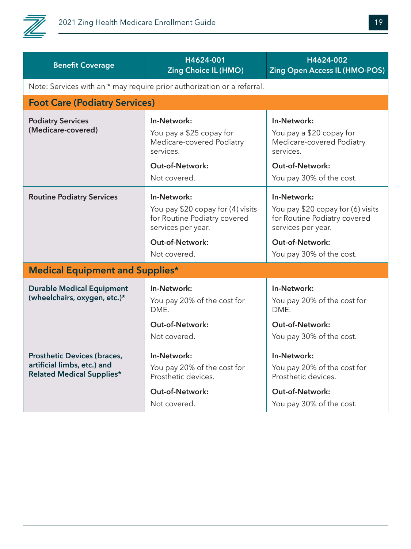

| <b>Benefit Coverage</b>                                                                               | H4624-001<br><b>Zing Choice IL (HMO)</b>                                                                                                  | H4624-002<br>Zing Open Access IL (HMO-POS)                                                                                                                   |  |
|-------------------------------------------------------------------------------------------------------|-------------------------------------------------------------------------------------------------------------------------------------------|--------------------------------------------------------------------------------------------------------------------------------------------------------------|--|
| Note: Services with an * may require prior authorization or a referral.                               |                                                                                                                                           |                                                                                                                                                              |  |
| <b>Foot Care (Podiatry Services)</b>                                                                  |                                                                                                                                           |                                                                                                                                                              |  |
| <b>Podiatry Services</b><br>(Medicare-covered)                                                        | In-Network:<br>You pay a \$25 copay for<br>Medicare-covered Podiatry<br>services.<br><b>Out-of-Network:</b><br>Not covered.               | In-Network:<br>You pay a \$20 copay for<br>Medicare-covered Podiatry<br>services.<br><b>Out-of-Network:</b><br>You pay 30% of the cost.                      |  |
| <b>Routine Podiatry Services</b>                                                                      | In-Network:<br>You pay \$20 copay for (4) visits<br>for Routine Podiatry covered<br>services per year.<br>Out-of-Network:<br>Not covered. | In-Network:<br>You pay \$20 copay for (6) visits<br>for Routine Podiatry covered<br>services per year.<br><b>Out-of-Network:</b><br>You pay 30% of the cost. |  |
| <b>Medical Equipment and Supplies*</b>                                                                |                                                                                                                                           |                                                                                                                                                              |  |
| <b>Durable Medical Equipment</b><br>(wheelchairs, oxygen, etc.)*                                      | In-Network:<br>You pay 20% of the cost for<br>DME.<br><b>Out-of-Network:</b><br>Not covered.                                              | In-Network:<br>You pay 20% of the cost for<br>DME.<br><b>Out-of-Network:</b><br>You pay 30% of the cost.                                                     |  |
| <b>Prosthetic Devices (braces,</b><br>artificial limbs, etc.) and<br><b>Related Medical Supplies*</b> | In-Network:<br>You pay 20% of the cost for<br>Prosthetic devices.<br>Out-of-Network:<br>Not covered.                                      | In-Network:<br>You pay 20% of the cost for<br>Prosthetic devices.<br><b>Out-of-Network:</b><br>You pay 30% of the cost.                                      |  |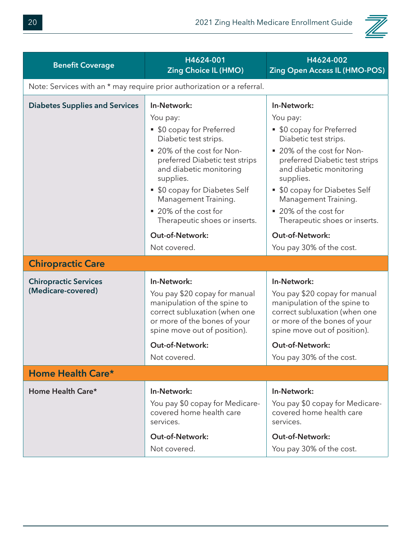

| <b>Benefit Coverage</b>                            | H4624-001<br><b>Zing Choice IL (HMO)</b>                                                                                                                                                                                                                                                                 | H4624-002<br><b>Zing Open Access IL (HMO-POS)</b>                                                                                                                                                                                                                                                        |
|----------------------------------------------------|----------------------------------------------------------------------------------------------------------------------------------------------------------------------------------------------------------------------------------------------------------------------------------------------------------|----------------------------------------------------------------------------------------------------------------------------------------------------------------------------------------------------------------------------------------------------------------------------------------------------------|
|                                                    | Note: Services with an * may require prior authorization or a referral.                                                                                                                                                                                                                                  |                                                                                                                                                                                                                                                                                                          |
| <b>Diabetes Supplies and Services</b>              | In-Network:<br>You pay:<br>• \$0 copay for Preferred<br>Diabetic test strips.<br>■ 20% of the cost for Non-<br>preferred Diabetic test strips<br>and diabetic monitoring<br>supplies.<br>• \$0 copay for Diabetes Self<br>Management Training.<br>■ 20% of the cost for<br>Therapeutic shoes or inserts. | In-Network:<br>You pay:<br>• \$0 copay for Preferred<br>Diabetic test strips.<br>■ 20% of the cost for Non-<br>preferred Diabetic test strips<br>and diabetic monitoring<br>supplies.<br>• \$0 copay for Diabetes Self<br>Management Training.<br>■ 20% of the cost for<br>Therapeutic shoes or inserts. |
|                                                    | Out-of-Network:<br>Not covered.                                                                                                                                                                                                                                                                          | Out-of-Network:<br>You pay 30% of the cost.                                                                                                                                                                                                                                                              |
| <b>Chiropractic Care</b>                           |                                                                                                                                                                                                                                                                                                          |                                                                                                                                                                                                                                                                                                          |
| <b>Chiropractic Services</b><br>(Medicare-covered) | In-Network:<br>You pay \$20 copay for manual<br>manipulation of the spine to<br>correct subluxation (when one<br>or more of the bones of your<br>spine move out of position).                                                                                                                            | In-Network:<br>You pay \$20 copay for manual<br>manipulation of the spine to<br>correct subluxation (when one<br>or more of the bones of your<br>spine move out of position).                                                                                                                            |
|                                                    | <b>Out-of-Network:</b>                                                                                                                                                                                                                                                                                   | <b>Out-of-Network:</b>                                                                                                                                                                                                                                                                                   |
|                                                    | Not covered.                                                                                                                                                                                                                                                                                             | You pay 30% of the cost.                                                                                                                                                                                                                                                                                 |
| Home Health Care*                                  |                                                                                                                                                                                                                                                                                                          |                                                                                                                                                                                                                                                                                                          |
| Home Health Care*                                  | In-Network:<br>You pay \$0 copay for Medicare-<br>covered home health care<br>services.<br><b>Out-of-Network:</b><br>Not covered.                                                                                                                                                                        | In-Network:<br>You pay \$0 copay for Medicare-<br>covered home health care<br>services.<br><b>Out-of-Network:</b><br>You pay 30% of the cost.                                                                                                                                                            |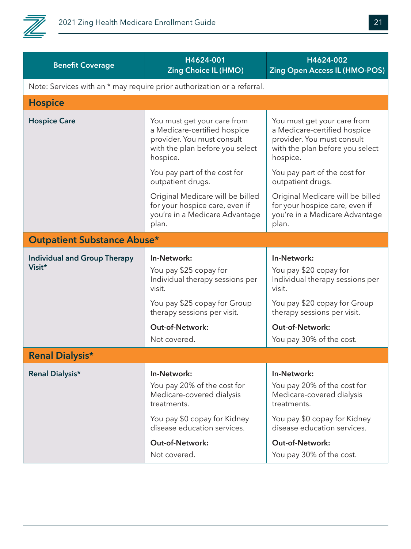

| <b>Benefit Coverage</b>             | H4624-001<br><b>Zing Choice IL (HMO)</b>                                                                                                 | H4624-002<br><b>Zing Open Access IL (HMO-POS)</b>                                                                                        |
|-------------------------------------|------------------------------------------------------------------------------------------------------------------------------------------|------------------------------------------------------------------------------------------------------------------------------------------|
|                                     | Note: Services with an * may require prior authorization or a referral.                                                                  |                                                                                                                                          |
| <b>Hospice</b>                      |                                                                                                                                          |                                                                                                                                          |
| <b>Hospice Care</b>                 | You must get your care from<br>a Medicare-certified hospice<br>provider. You must consult<br>with the plan before you select<br>hospice. | You must get your care from<br>a Medicare-certified hospice<br>provider. You must consult<br>with the plan before you select<br>hospice. |
|                                     | You pay part of the cost for<br>outpatient drugs.                                                                                        | You pay part of the cost for<br>outpatient drugs.                                                                                        |
|                                     | Original Medicare will be billed<br>for your hospice care, even if<br>you're in a Medicare Advantage<br>plan.                            | Original Medicare will be billed<br>for your hospice care, even if<br>you're in a Medicare Advantage<br>plan.                            |
| <b>Outpatient Substance Abuse*</b>  |                                                                                                                                          |                                                                                                                                          |
| <b>Individual and Group Therapy</b> | In-Network:                                                                                                                              | In-Network:                                                                                                                              |
| Visit*                              | You pay \$25 copay for<br>Individual therapy sessions per<br>visit.                                                                      | You pay \$20 copay for<br>Individual therapy sessions per<br>visit.                                                                      |
|                                     | You pay \$25 copay for Group<br>therapy sessions per visit.                                                                              | You pay \$20 copay for Group<br>therapy sessions per visit.                                                                              |
|                                     | <b>Out-of-Network:</b>                                                                                                                   | Out-of-Network:                                                                                                                          |
|                                     | Not covered.                                                                                                                             | You pay 30% of the cost.                                                                                                                 |
| <b>Renal Dialysis*</b>              |                                                                                                                                          |                                                                                                                                          |
| <b>Renal Dialysis*</b>              | In-Network:                                                                                                                              | In-Network:                                                                                                                              |
|                                     | You pay 20% of the cost for<br>Medicare-covered dialysis<br>treatments.                                                                  | You pay 20% of the cost for<br>Medicare-covered dialysis<br>treatments.                                                                  |
|                                     | You pay \$0 copay for Kidney<br>disease education services.                                                                              | You pay \$0 copay for Kidney<br>disease education services.                                                                              |
|                                     | <b>Out-of-Network:</b>                                                                                                                   | <b>Out-of-Network:</b>                                                                                                                   |
|                                     | Not covered.                                                                                                                             | You pay 30% of the cost.                                                                                                                 |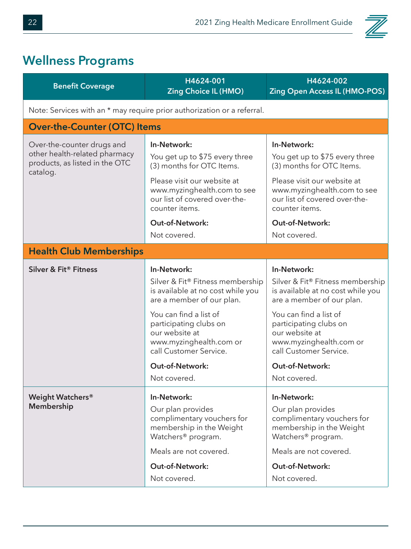

### **Wellness Programs**

| <b>Benefit Coverage</b>                                                                                   | H4624-001<br><b>Zing Choice IL (HMO)</b>                                                                                                                                                                                                                               | H4624-002<br><b>Zing Open Access IL (HMO-POS)</b>                                                                                                                                                                                                                      |  |
|-----------------------------------------------------------------------------------------------------------|------------------------------------------------------------------------------------------------------------------------------------------------------------------------------------------------------------------------------------------------------------------------|------------------------------------------------------------------------------------------------------------------------------------------------------------------------------------------------------------------------------------------------------------------------|--|
| Note: Services with an * may require prior authorization or a referral.                                   |                                                                                                                                                                                                                                                                        |                                                                                                                                                                                                                                                                        |  |
| <b>Over-the-Counter (OTC) Items</b>                                                                       |                                                                                                                                                                                                                                                                        |                                                                                                                                                                                                                                                                        |  |
| Over-the-counter drugs and<br>other health-related pharmacy<br>products, as listed in the OTC<br>catalog. | In-Network:<br>You get up to \$75 every three<br>(3) months for OTC Items.<br>Please visit our website at<br>www.myzinghealth.com to see<br>our list of covered over-the-<br>counter items.                                                                            | In-Network:<br>You get up to \$75 every three<br>(3) months for OTC Items.<br>Please visit our website at<br>www.myzinghealth.com to see<br>our list of covered over-the-<br>counter items.                                                                            |  |
|                                                                                                           | <b>Out-of-Network:</b><br>Not covered.                                                                                                                                                                                                                                 | <b>Out-of-Network:</b><br>Not covered.                                                                                                                                                                                                                                 |  |
| <b>Health Club Memberships</b>                                                                            |                                                                                                                                                                                                                                                                        |                                                                                                                                                                                                                                                                        |  |
| Silver & Fit® Fitness                                                                                     | In-Network:<br>Silver & Fit® Fitness membership<br>is available at no cost while you<br>are a member of our plan.<br>You can find a list of<br>participating clubs on<br>our website at<br>www.myzinghealth.com or<br>call Customer Service.<br><b>Out-of-Network:</b> | In-Network:<br>Silver & Fit® Fitness membership<br>is available at no cost while you<br>are a member of our plan.<br>You can find a list of<br>participating clubs on<br>our website at<br>www.myzinghealth.com or<br>call Customer Service.<br><b>Out-of-Network:</b> |  |
|                                                                                                           | Not covered.                                                                                                                                                                                                                                                           | Not covered.                                                                                                                                                                                                                                                           |  |
| Weight Watchers®<br>Membership                                                                            | In-Network:<br>Our plan provides<br>complimentary vouchers for<br>membership in the Weight<br>Watchers <sup>®</sup> program.<br>Meals are not covered.<br><b>Out-of-Network:</b>                                                                                       | In-Network:<br>Our plan provides<br>complimentary vouchers for<br>membership in the Weight<br>Watchers <sup>®</sup> program.<br>Meals are not covered.<br><b>Out-of-Network:</b>                                                                                       |  |
|                                                                                                           | Not covered.                                                                                                                                                                                                                                                           | Not covered.                                                                                                                                                                                                                                                           |  |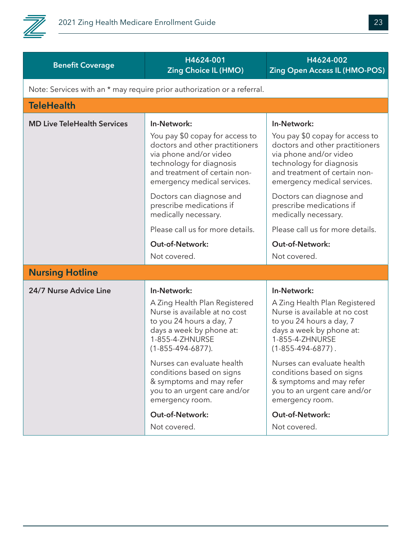

| H4624-001<br>H4624-002<br><b>Benefit Coverage</b><br><b>Zing Choice IL (HMO)</b><br>Note: Services with an * may require prior authorization or a referral.<br><b>TeleHealth</b><br><b>MD Live TeleHealth Services</b><br>In-Network:<br>In-Network:<br>You pay \$0 copay for access to<br>doctors and other practitioners<br>via phone and/or video<br>via phone and/or video<br>technology for diagnosis<br>technology for diagnosis<br>and treatment of certain non-<br>emergency medical services.<br>Doctors can diagnose and<br>Doctors can diagnose and<br>prescribe medications if<br>prescribe medications if<br>medically necessary.<br>medically necessary. |  |                                                                                                                                    |
|------------------------------------------------------------------------------------------------------------------------------------------------------------------------------------------------------------------------------------------------------------------------------------------------------------------------------------------------------------------------------------------------------------------------------------------------------------------------------------------------------------------------------------------------------------------------------------------------------------------------------------------------------------------------|--|------------------------------------------------------------------------------------------------------------------------------------|
|                                                                                                                                                                                                                                                                                                                                                                                                                                                                                                                                                                                                                                                                        |  | <b>Zing Open Access IL (HMO-POS)</b>                                                                                               |
|                                                                                                                                                                                                                                                                                                                                                                                                                                                                                                                                                                                                                                                                        |  |                                                                                                                                    |
|                                                                                                                                                                                                                                                                                                                                                                                                                                                                                                                                                                                                                                                                        |  |                                                                                                                                    |
|                                                                                                                                                                                                                                                                                                                                                                                                                                                                                                                                                                                                                                                                        |  |                                                                                                                                    |
|                                                                                                                                                                                                                                                                                                                                                                                                                                                                                                                                                                                                                                                                        |  | You pay \$0 copay for access to<br>doctors and other practitioners<br>and treatment of certain non-<br>emergency medical services. |
|                                                                                                                                                                                                                                                                                                                                                                                                                                                                                                                                                                                                                                                                        |  |                                                                                                                                    |
| Please call us for more details.                                                                                                                                                                                                                                                                                                                                                                                                                                                                                                                                                                                                                                       |  | Please call us for more details.                                                                                                   |
| <b>Out-of-Network:</b><br><b>Out-of-Network:</b>                                                                                                                                                                                                                                                                                                                                                                                                                                                                                                                                                                                                                       |  |                                                                                                                                    |
| Not covered.<br>Not covered.                                                                                                                                                                                                                                                                                                                                                                                                                                                                                                                                                                                                                                           |  |                                                                                                                                    |
| <b>Nursing Hotline</b>                                                                                                                                                                                                                                                                                                                                                                                                                                                                                                                                                                                                                                                 |  |                                                                                                                                    |
| 24/7 Nurse Advice Line<br>In-Network:<br>In-Network:<br>A Zing Health Plan Registered<br>Nurse is available at no cost<br>to you 24 hours a day, 7<br>to you 24 hours a day, 7<br>days a week by phone at:<br>days a week by phone at:<br>1-855-4-ZHNURSE<br>1-855-4-ZHNURSE<br>$(1 - 855 - 494 - 6877)$ .<br>$(1 - 855 - 494 - 6877)$ .<br>Nurses can evaluate health<br>Nurses can evaluate health<br>conditions based on signs<br>conditions based on signs<br>& symptoms and may refer<br>you to an urgent care and/or<br>emergency room.<br>emergency room.<br>Out-of-Network:<br>Out-of-Network:<br>Not covered.<br>Not covered.                                 |  | A Zing Health Plan Registered<br>Nurse is available at no cost<br>& symptoms and may refer<br>you to an urgent care and/or         |